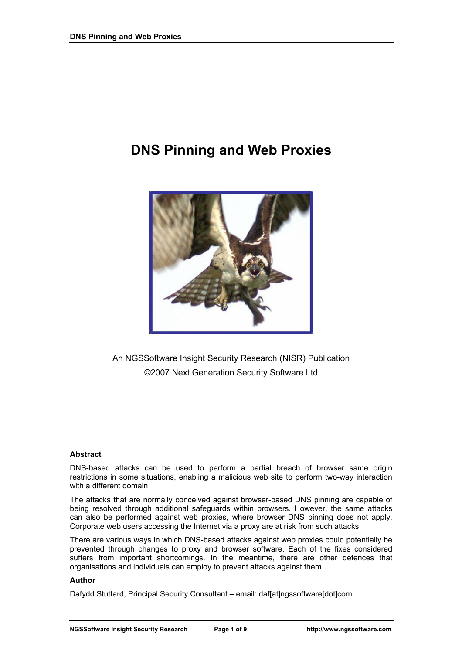# **DNS Pinning and Web Proxies**



An NGSSoftware Insight Security Research (NISR) Publication ©2007 Next Generation Security Software Ltd

### **Abstract**

DNS-based attacks can be used to perform a partial breach of browser same origin restrictions in some situations, enabling a malicious web site to perform two-way interaction with a different domain.

The attacks that are normally conceived against browser-based DNS pinning are capable of being resolved through additional safeguards within browsers. However, the same attacks can also be performed against web proxies, where browser DNS pinning does not apply. Corporate web users accessing the Internet via a proxy are at risk from such attacks.

There are various ways in which DNS-based attacks against web proxies could potentially be prevented through changes to proxy and browser software. Each of the fixes considered suffers from important shortcomings. In the meantime, there are other defences that organisations and individuals can employ to prevent attacks against them.

#### **Author**

Dafydd Stuttard, Principal Security Consultant – email: daf[at]ngssoftware[dot]com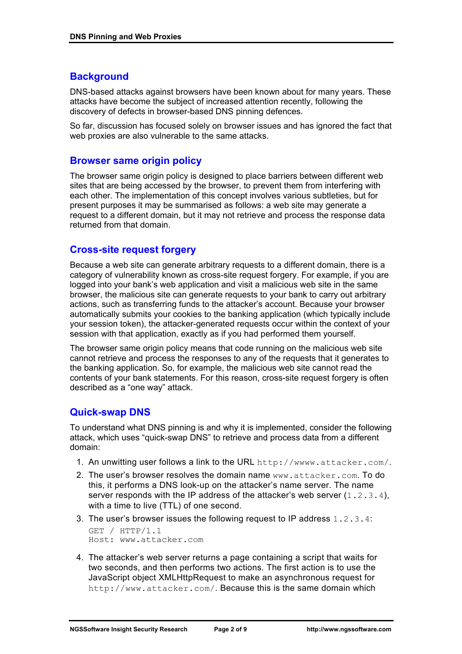# **Background**

DNS-based attacks against browsers have been known about for many years. These attacks have become the subject of increased attention recently, following the discovery of defects in browser-based DNS pinning defences.

So far, discussion has focused solely on browser issues and has ignored the fact that web proxies are also vulnerable to the same attacks.

### **Browser same origin policy**

The browser same origin policy is designed to place barriers between different web sites that are being accessed by the browser, to prevent them from interfering with each other. The implementation of this concept involves various subtleties, but for present purposes it may be summarised as follows: a web site may generate a request to a different domain, but it may not retrieve and process the response data returned from that domain.

# **Cross-site request forgery**

Because a web site can generate arbitrary requests to a different domain, there is a category of vulnerability known as cross-site request forgery. For example, if you are logged into your bank's web application and visit a malicious web site in the same browser, the malicious site can generate requests to your bank to carry out arbitrary actions, such as transferring funds to the attacker's account. Because your browser automatically submits your cookies to the banking application (which typically include your session token), the attacker-generated requests occur within the context of your session with that application, exactly as if you had performed them yourself.

The browser same origin policy means that code running on the malicious web site cannot retrieve and process the responses to any of the requests that it generates to the banking application. So, for example, the malicious web site cannot read the contents of your bank statements. For this reason, cross-site request forgery is often described as a "one way" attack.

## **Quick-swap DNS**

To understand what DNS pinning is and why it is implemented, consider the following attack, which uses "quick-swap DNS" to retrieve and process data from a different domain:

- 1. An unwitting user follows a link to the URL http://wwww.attacker.com/.
- 2. The user's browser resolves the domain name www.attacker.com. To do this, it performs a DNS look-up on the attacker's name server. The name server responds with the IP address of the attacker's web server  $(1.2.3.4)$ , with a time to live (TTL) of one second.
- 3. The user's browser issues the following request to IP address 1.2.3.4:

```
GET / HTTP/1.1 
Host: www.attacker.com
```
4. The attacker's web server returns a page containing a script that waits for two seconds, and then performs two actions. The first action is to use the JavaScript object XMLHttpRequest to make an asynchronous request for http://www.attacker.com/. Because this is the same domain which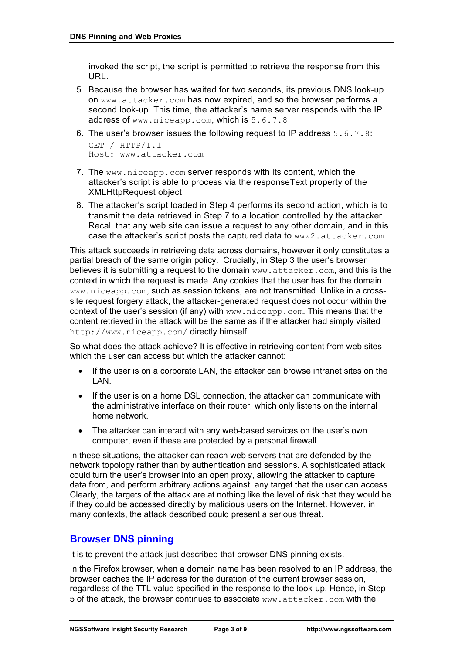invoked the script, the script is permitted to retrieve the response from this URL.

5. Because the browser has waited for two seconds, its previous DNS look-up on www.attacker.com has now expired, and so the browser performs a second look-up. This time, the attacker's name server responds with the IP address of www.niceapp.com, which is 5.6.7.8.

```
6. The user's browser issues the following request to IP address 5.6.7.8: 
  GET / HTTP/1.1 
  Host: www.attacker.com
```
- 7. The www.niceapp.com server responds with its content, which the attacker's script is able to process via the responseText property of the XMLHttpRequest object.
- 8. The attacker's script loaded in Step 4 performs its second action, which is to transmit the data retrieved in Step 7 to a location controlled by the attacker. Recall that any web site can issue a request to any other domain, and in this case the attacker's script posts the captured data to www2.attacker.com.

This attack succeeds in retrieving data across domains, however it only constitutes a partial breach of the same origin policy. Crucially, in Step 3 the user's browser believes it is submitting a request to the domain www.attacker.com, and this is the context in which the request is made. Any cookies that the user has for the domain www.niceapp.com, such as session tokens, are not transmitted. Unlike in a crosssite request forgery attack, the attacker-generated request does not occur within the context of the user's session (if any) with www.niceapp.com. This means that the content retrieved in the attack will be the same as if the attacker had simply visited http://www.niceapp.com/ directly himself.

So what does the attack achieve? It is effective in retrieving content from web sites which the user can access but which the attacker cannot:

- If the user is on a corporate LAN, the attacker can browse intranet sites on the LAN.
- If the user is on a home DSL connection, the attacker can communicate with the administrative interface on their router, which only listens on the internal home network.
- The attacker can interact with any web-based services on the user's own computer, even if these are protected by a personal firewall.

In these situations, the attacker can reach web servers that are defended by the network topology rather than by authentication and sessions. A sophisticated attack could turn the user's browser into an open proxy, allowing the attacker to capture data from, and perform arbitrary actions against, any target that the user can access. Clearly, the targets of the attack are at nothing like the level of risk that they would be if they could be accessed directly by malicious users on the Internet. However, in many contexts, the attack described could present a serious threat.

# **Browser DNS pinning**

It is to prevent the attack just described that browser DNS pinning exists.

In the Firefox browser, when a domain name has been resolved to an IP address, the browser caches the IP address for the duration of the current browser session, regardless of the TTL value specified in the response to the look-up. Hence, in Step 5 of the attack, the browser continues to associate www.attacker.com with the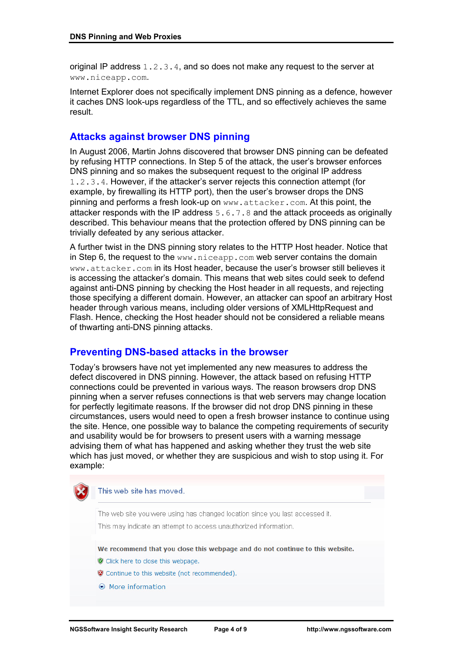original IP address  $1, 2, 3, 4$ , and so does not make any request to the server at www.niceapp.com.

Internet Explorer does not specifically implement DNS pinning as a defence, however it caches DNS look-ups regardless of the TTL, and so effectively achieves the same result.

## **Attacks against browser DNS pinning**

In August 2006, Martin Johns discovered that browser DNS pinning can be defeated by refusing HTTP connections. In Step 5 of the attack, the user's browser enforces DNS pinning and so makes the subsequent request to the original IP address 1.2.3.4. However, if the attacker's server rejects this connection attempt (for example, by firewalling its HTTP port), then the user's browser drops the DNS pinning and performs a fresh look-up on www.attacker.com. At this point, the attacker responds with the IP address 5.6.7.8 and the attack proceeds as originally described. This behaviour means that the protection offered by DNS pinning can be trivially defeated by any serious attacker.

A further twist in the DNS pinning story relates to the HTTP Host header. Notice that in Step 6, the request to the www.niceapp.com web server contains the domain www.attacker.com in its Host header, because the user's browser still believes it is accessing the attacker's domain. This means that web sites could seek to defend against anti-DNS pinning by checking the Host header in all requests, and rejecting those specifying a different domain. However, an attacker can spoof an arbitrary Host header through various means, including older versions of XMLHttpRequest and Flash. Hence, checking the Host header should not be considered a reliable means of thwarting anti-DNS pinning attacks.

### **Preventing DNS-based attacks in the browser**

Today's browsers have not yet implemented any new measures to address the defect discovered in DNS pinning. However, the attack based on refusing HTTP connections could be prevented in various ways. The reason browsers drop DNS pinning when a server refuses connections is that web servers may change location for perfectly legitimate reasons. If the browser did not drop DNS pinning in these circumstances, users would need to open a fresh browser instance to continue using the site. Hence, one possible way to balance the competing requirements of security and usability would be for browsers to present users with a warning message advising them of what has happened and asking whether they trust the web site which has just moved, or whether they are suspicious and wish to stop using it. For example:

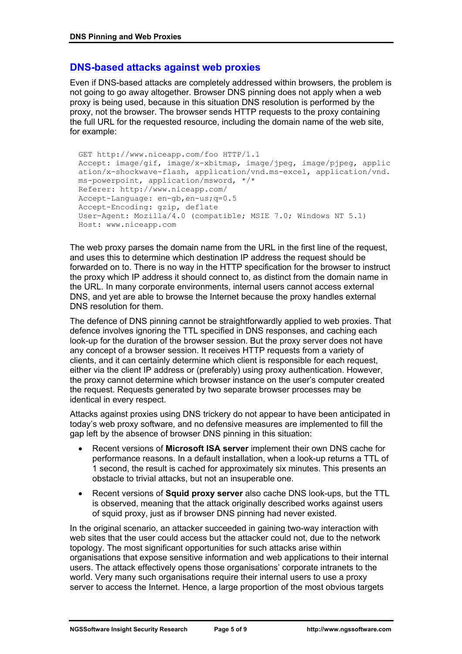# **DNS-based attacks against web proxies**

Even if DNS-based attacks are completely addressed within browsers, the problem is not going to go away altogether. Browser DNS pinning does not apply when a web proxy is being used, because in this situation DNS resolution is performed by the proxy, not the browser. The browser sends HTTP requests to the proxy containing the full URL for the requested resource, including the domain name of the web site, for example:

GET http://www.niceapp.com/foo HTTP/1.1 Accept: image/gif, image/x-xbitmap, image/jpeg, image/pjpeg, applic ation/x-shockwave-flash, application/vnd.ms-excel, application/vnd. ms-powerpoint, application/msword, \*/\* Referer: http://www.niceapp.com/ Accept-Language: en-gb,en-us;q=0.5 Accept-Encoding: gzip, deflate User-Agent: Mozilla/4.0 (compatible; MSIE 7.0; Windows NT 5.1) Host: www.niceapp.com

The web proxy parses the domain name from the URL in the first line of the request, and uses this to determine which destination IP address the request should be forwarded on to. There is no way in the HTTP specification for the browser to instruct the proxy which IP address it should connect to, as distinct from the domain name in the URL. In many corporate environments, internal users cannot access external DNS, and yet are able to browse the Internet because the proxy handles external DNS resolution for them.

The defence of DNS pinning cannot be straightforwardly applied to web proxies. That defence involves ignoring the TTL specified in DNS responses, and caching each look-up for the duration of the browser session. But the proxy server does not have any concept of a browser session. It receives HTTP requests from a variety of clients, and it can certainly determine which client is responsible for each request, either via the client IP address or (preferably) using proxy authentication. However, the proxy cannot determine which browser instance on the user's computer created the request. Requests generated by two separate browser processes may be identical in every respect.

Attacks against proxies using DNS trickery do not appear to have been anticipated in today's web proxy software, and no defensive measures are implemented to fill the gap left by the absence of browser DNS pinning in this situation:

- Recent versions of **Microsoft ISA server** implement their own DNS cache for performance reasons. In a default installation, when a look-up returns a TTL of 1 second, the result is cached for approximately six minutes. This presents an obstacle to trivial attacks, but not an insuperable one.
- Recent versions of **Squid proxy server** also cache DNS look-ups, but the TTL is observed, meaning that the attack originally described works against users of squid proxy, just as if browser DNS pinning had never existed.

In the original scenario, an attacker succeeded in gaining two-way interaction with web sites that the user could access but the attacker could not, due to the network topology. The most significant opportunities for such attacks arise within organisations that expose sensitive information and web applications to their internal users. The attack effectively opens those organisations' corporate intranets to the world. Very many such organisations require their internal users to use a proxy server to access the Internet. Hence, a large proportion of the most obvious targets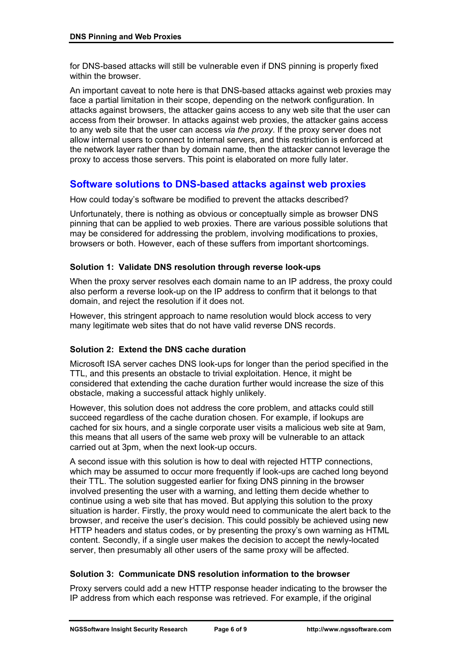for DNS-based attacks will still be vulnerable even if DNS pinning is properly fixed within the browser.

An important caveat to note here is that DNS-based attacks against web proxies may face a partial limitation in their scope, depending on the network configuration. In attacks against browsers, the attacker gains access to any web site that the user can access from their browser. In attacks against web proxies, the attacker gains access to any web site that the user can access *via the proxy*. If the proxy server does not allow internal users to connect to internal servers, and this restriction is enforced at the network layer rather than by domain name, then the attacker cannot leverage the proxy to access those servers. This point is elaborated on more fully later.

## **Software solutions to DNS-based attacks against web proxies**

How could today's software be modified to prevent the attacks described?

Unfortunately, there is nothing as obvious or conceptually simple as browser DNS pinning that can be applied to web proxies. There are various possible solutions that may be considered for addressing the problem, involving modifications to proxies, browsers or both. However, each of these suffers from important shortcomings.

### **Solution 1: Validate DNS resolution through reverse look-ups**

When the proxy server resolves each domain name to an IP address, the proxy could also perform a reverse look-up on the IP address to confirm that it belongs to that domain, and reject the resolution if it does not.

However, this stringent approach to name resolution would block access to very many legitimate web sites that do not have valid reverse DNS records.

### **Solution 2: Extend the DNS cache duration**

Microsoft ISA server caches DNS look-ups for longer than the period specified in the TTL, and this presents an obstacle to trivial exploitation. Hence, it might be considered that extending the cache duration further would increase the size of this obstacle, making a successful attack highly unlikely.

However, this solution does not address the core problem, and attacks could still succeed regardless of the cache duration chosen. For example, if lookups are cached for six hours, and a single corporate user visits a malicious web site at 9am, this means that all users of the same web proxy will be vulnerable to an attack carried out at 3pm, when the next look-up occurs.

A second issue with this solution is how to deal with rejected HTTP connections, which may be assumed to occur more frequently if look-ups are cached long beyond their TTL. The solution suggested earlier for fixing DNS pinning in the browser involved presenting the user with a warning, and letting them decide whether to continue using a web site that has moved. But applying this solution to the proxy situation is harder. Firstly, the proxy would need to communicate the alert back to the browser, and receive the user's decision. This could possibly be achieved using new HTTP headers and status codes, or by presenting the proxy's own warning as HTML content. Secondly, if a single user makes the decision to accept the newly-located server, then presumably all other users of the same proxy will be affected.

### **Solution 3: Communicate DNS resolution information to the browser**

Proxy servers could add a new HTTP response header indicating to the browser the IP address from which each response was retrieved. For example, if the original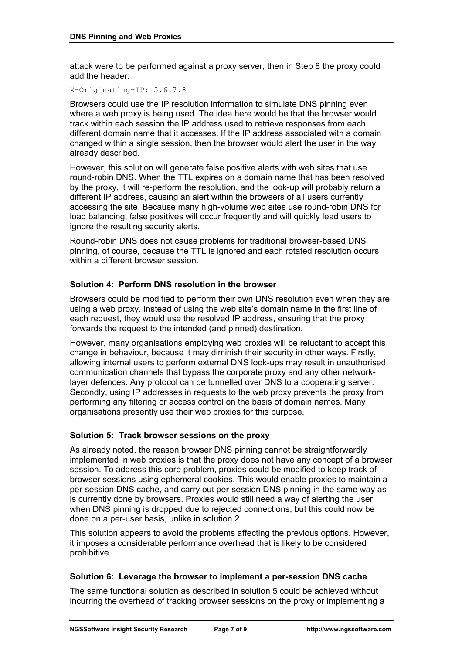attack were to be performed against a proxy server, then in Step 8 the proxy could add the header:

X-Originating-IP: 5.6.7.8

Browsers could use the IP resolution information to simulate DNS pinning even where a web proxy is being used. The idea here would be that the browser would track within each session the IP address used to retrieve responses from each different domain name that it accesses. If the IP address associated with a domain changed within a single session, then the browser would alert the user in the way already described.

However, this solution will generate false positive alerts with web sites that use round-robin DNS. When the TTL expires on a domain name that has been resolved by the proxy, it will re-perform the resolution, and the look-up will probably return a different IP address, causing an alert within the browsers of all users currently accessing the site. Because many high-volume web sites use round-robin DNS for load balancing, false positives will occur frequently and will quickly lead users to ignore the resulting security alerts.

Round-robin DNS does not cause problems for traditional browser-based DNS pinning, of course, because the TTL is ignored and each rotated resolution occurs within a different browser session

### **Solution 4: Perform DNS resolution in the browser**

Browsers could be modified to perform their own DNS resolution even when they are using a web proxy. Instead of using the web site's domain name in the first line of each request, they would use the resolved IP address, ensuring that the proxy forwards the request to the intended (and pinned) destination.

However, many organisations employing web proxies will be reluctant to accept this change in behaviour, because it may diminish their security in other ways. Firstly, allowing internal users to perform external DNS look-ups may result in unauthorised communication channels that bypass the corporate proxy and any other networklayer defences. Any protocol can be tunnelled over DNS to a cooperating server. Secondly, using IP addresses in requests to the web proxy prevents the proxy from performing any filtering or access control on the basis of domain names. Many organisations presently use their web proxies for this purpose.

### **Solution 5: Track browser sessions on the proxy**

As already noted, the reason browser DNS pinning cannot be straightforwardly implemented in web proxies is that the proxy does not have any concept of a browser session. To address this core problem, proxies could be modified to keep track of browser sessions using ephemeral cookies. This would enable proxies to maintain a per-session DNS cache, and carry out per-session DNS pinning in the same way as is currently done by browsers. Proxies would still need a way of alerting the user when DNS pinning is dropped due to rejected connections, but this could now be done on a per-user basis, unlike in solution 2.

This solution appears to avoid the problems affecting the previous options. However, it imposes a considerable performance overhead that is likely to be considered prohibitive.

### **Solution 6: Leverage the browser to implement a per-session DNS cache**

The same functional solution as described in solution 5 could be achieved without incurring the overhead of tracking browser sessions on the proxy or implementing a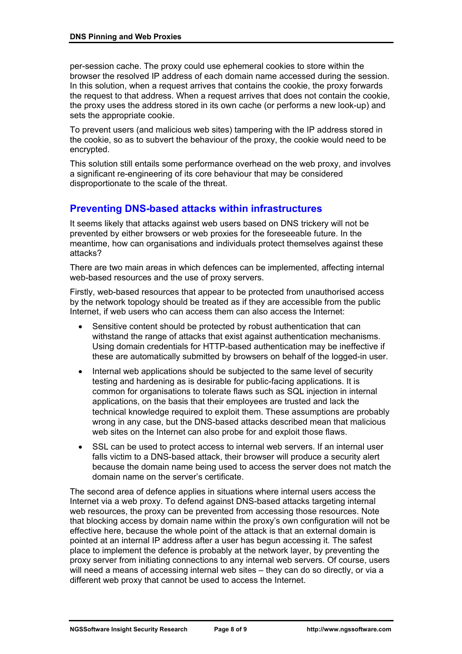per-session cache. The proxy could use ephemeral cookies to store within the browser the resolved IP address of each domain name accessed during the session. In this solution, when a request arrives that contains the cookie, the proxy forwards the request to that address. When a request arrives that does not contain the cookie, the proxy uses the address stored in its own cache (or performs a new look-up) and sets the appropriate cookie.

To prevent users (and malicious web sites) tampering with the IP address stored in the cookie, so as to subvert the behaviour of the proxy, the cookie would need to be encrypted.

This solution still entails some performance overhead on the web proxy, and involves a significant re-engineering of its core behaviour that may be considered disproportionate to the scale of the threat.

# **Preventing DNS-based attacks within infrastructures**

It seems likely that attacks against web users based on DNS trickery will not be prevented by either browsers or web proxies for the foreseeable future. In the meantime, how can organisations and individuals protect themselves against these attacks?

There are two main areas in which defences can be implemented, affecting internal web-based resources and the use of proxy servers.

Firstly, web-based resources that appear to be protected from unauthorised access by the network topology should be treated as if they are accessible from the public Internet, if web users who can access them can also access the Internet:

- Sensitive content should be protected by robust authentication that can withstand the range of attacks that exist against authentication mechanisms. Using domain credentials for HTTP-based authentication may be ineffective if these are automatically submitted by browsers on behalf of the logged-in user.
- Internal web applications should be subjected to the same level of security testing and hardening as is desirable for public-facing applications. It is common for organisations to tolerate flaws such as SQL injection in internal applications, on the basis that their employees are trusted and lack the technical knowledge required to exploit them. These assumptions are probably wrong in any case, but the DNS-based attacks described mean that malicious web sites on the Internet can also probe for and exploit those flaws.
- SSL can be used to protect access to internal web servers. If an internal user falls victim to a DNS-based attack, their browser will produce a security alert because the domain name being used to access the server does not match the domain name on the server's certificate.

The second area of defence applies in situations where internal users access the Internet via a web proxy. To defend against DNS-based attacks targeting internal web resources, the proxy can be prevented from accessing those resources. Note that blocking access by domain name within the proxy's own configuration will not be effective here, because the whole point of the attack is that an external domain is pointed at an internal IP address after a user has begun accessing it. The safest place to implement the defence is probably at the network layer, by preventing the proxy server from initiating connections to any internal web servers. Of course, users will need a means of accessing internal web sites – they can do so directly, or via a different web proxy that cannot be used to access the Internet.